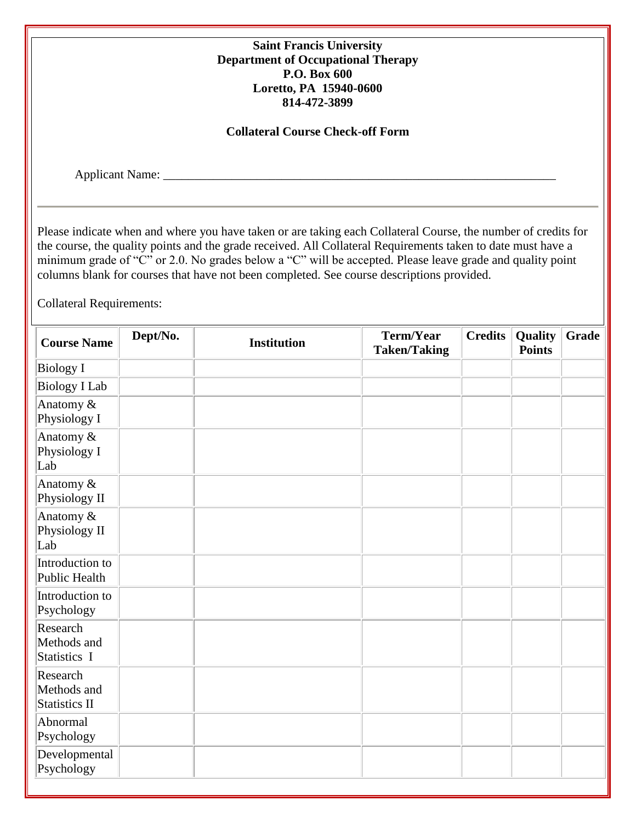| <b>Saint Francis University</b><br><b>Department of Occupational Therapy</b><br>P.O. Box 600<br>Loretto, PA 15940-0600<br>814-472-3899<br><b>Collateral Course Check-off Form</b> |          |                                                                                                                                                                                                                                                                                                                                                                                                                                         |                                  |                |                          |       |
|-----------------------------------------------------------------------------------------------------------------------------------------------------------------------------------|----------|-----------------------------------------------------------------------------------------------------------------------------------------------------------------------------------------------------------------------------------------------------------------------------------------------------------------------------------------------------------------------------------------------------------------------------------------|----------------------------------|----------------|--------------------------|-------|
|                                                                                                                                                                                   |          |                                                                                                                                                                                                                                                                                                                                                                                                                                         |                                  |                |                          |       |
| <b>Collateral Requirements:</b>                                                                                                                                                   |          | Please indicate when and where you have taken or are taking each Collateral Course, the number of credits for<br>the course, the quality points and the grade received. All Collateral Requirements taken to date must have a<br>minimum grade of "C" or 2.0. No grades below a "C" will be accepted. Please leave grade and quality point<br>columns blank for courses that have not been completed. See course descriptions provided. |                                  |                |                          |       |
| <b>Course Name</b>                                                                                                                                                                | Dept/No. | <b>Institution</b>                                                                                                                                                                                                                                                                                                                                                                                                                      | Term/Year<br><b>Taken/Taking</b> | <b>Credits</b> | Quality<br><b>Points</b> | Grade |
| <b>Biology I</b>                                                                                                                                                                  |          |                                                                                                                                                                                                                                                                                                                                                                                                                                         |                                  |                |                          |       |
| <b>Biology I Lab</b>                                                                                                                                                              |          |                                                                                                                                                                                                                                                                                                                                                                                                                                         |                                  |                |                          |       |
| Anatomy &<br>Physiology I                                                                                                                                                         |          |                                                                                                                                                                                                                                                                                                                                                                                                                                         |                                  |                |                          |       |
| Anatomy &<br>Physiology I<br>Lab                                                                                                                                                  |          |                                                                                                                                                                                                                                                                                                                                                                                                                                         |                                  |                |                          |       |
| Anatomy &<br>Physiology II                                                                                                                                                        |          |                                                                                                                                                                                                                                                                                                                                                                                                                                         |                                  |                |                          |       |
| Anatomy &<br>Physiology II<br>Lab                                                                                                                                                 |          |                                                                                                                                                                                                                                                                                                                                                                                                                                         |                                  |                |                          |       |
| Introduction to<br><b>Public Health</b>                                                                                                                                           |          |                                                                                                                                                                                                                                                                                                                                                                                                                                         |                                  |                |                          |       |
| Introduction to<br>Psychology                                                                                                                                                     |          |                                                                                                                                                                                                                                                                                                                                                                                                                                         |                                  |                |                          |       |
| Research<br>Methods and<br>Statistics I                                                                                                                                           |          |                                                                                                                                                                                                                                                                                                                                                                                                                                         |                                  |                |                          |       |
| Research<br>Methods and<br><b>Statistics II</b>                                                                                                                                   |          |                                                                                                                                                                                                                                                                                                                                                                                                                                         |                                  |                |                          |       |
| Abnormal<br>Psychology                                                                                                                                                            |          |                                                                                                                                                                                                                                                                                                                                                                                                                                         |                                  |                |                          |       |
| Developmental<br>Psychology                                                                                                                                                       |          |                                                                                                                                                                                                                                                                                                                                                                                                                                         |                                  |                |                          |       |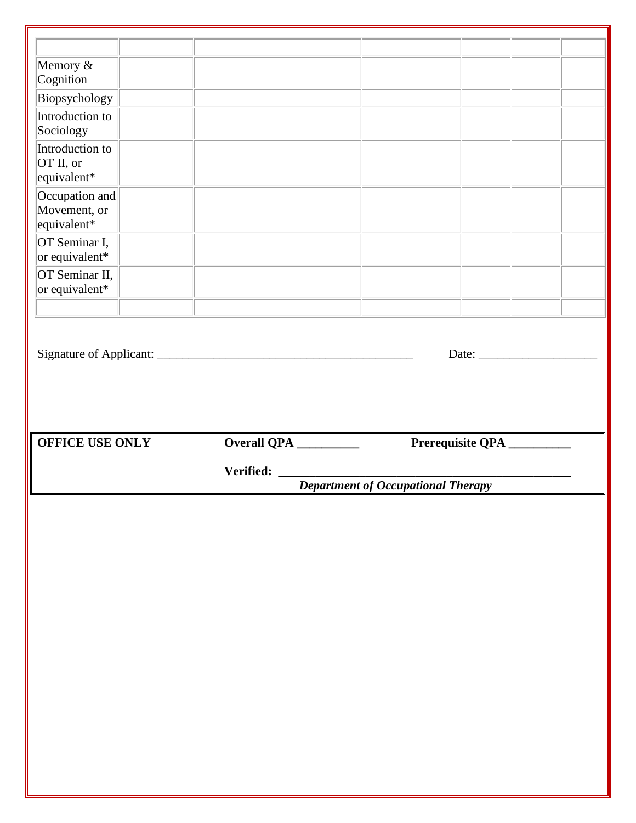| Cognition<br>Biopsychology<br>Introduction to<br>Introduction to<br>or equivalent*<br>Prerequisite QPA _________<br><b>Department of Occupational Therapy</b> |                                               |  |  |
|---------------------------------------------------------------------------------------------------------------------------------------------------------------|-----------------------------------------------|--|--|
|                                                                                                                                                               |                                               |  |  |
|                                                                                                                                                               | Memory &                                      |  |  |
|                                                                                                                                                               |                                               |  |  |
|                                                                                                                                                               |                                               |  |  |
|                                                                                                                                                               | Sociology                                     |  |  |
|                                                                                                                                                               | OT II, or<br>equivalent*                      |  |  |
|                                                                                                                                                               | Occupation and<br>Movement, or<br>equivalent* |  |  |
|                                                                                                                                                               | OT Seminar I,<br>or equivalent*               |  |  |
|                                                                                                                                                               | OT Seminar II,                                |  |  |
|                                                                                                                                                               |                                               |  |  |
|                                                                                                                                                               |                                               |  |  |
|                                                                                                                                                               |                                               |  |  |
|                                                                                                                                                               |                                               |  |  |
|                                                                                                                                                               | <b>OFFICE USE ONLY</b>                        |  |  |
|                                                                                                                                                               |                                               |  |  |
|                                                                                                                                                               |                                               |  |  |
|                                                                                                                                                               |                                               |  |  |
|                                                                                                                                                               |                                               |  |  |
|                                                                                                                                                               |                                               |  |  |
|                                                                                                                                                               |                                               |  |  |
|                                                                                                                                                               |                                               |  |  |
|                                                                                                                                                               |                                               |  |  |
|                                                                                                                                                               |                                               |  |  |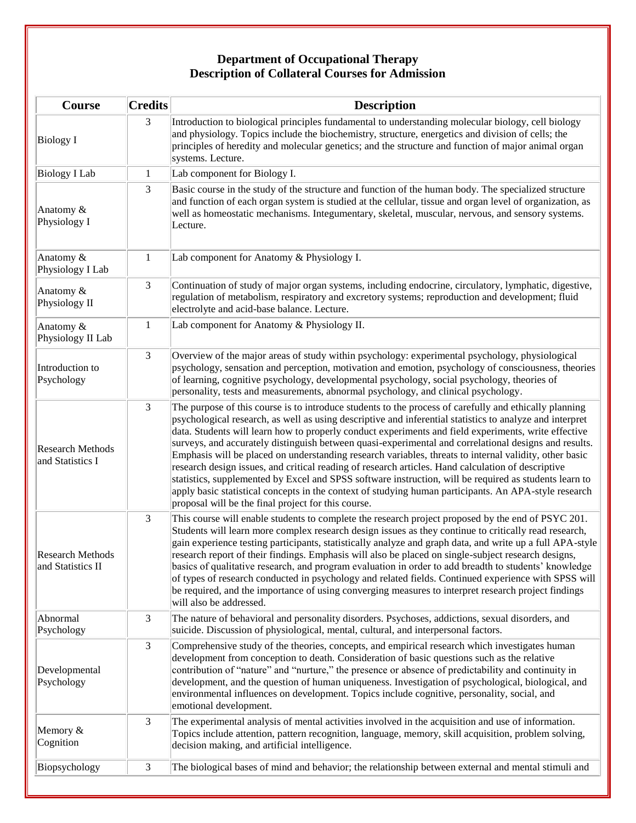## **Department of Occupational Therapy Description of Collateral Courses for Admission**

| Course                                       | <b>Credits</b> | <b>Description</b>                                                                                                                                                                                                                                                                                                                                                                                                                                                                                                                                                                                                                                                                                                                                                                                                                                                                                                            |
|----------------------------------------------|----------------|-------------------------------------------------------------------------------------------------------------------------------------------------------------------------------------------------------------------------------------------------------------------------------------------------------------------------------------------------------------------------------------------------------------------------------------------------------------------------------------------------------------------------------------------------------------------------------------------------------------------------------------------------------------------------------------------------------------------------------------------------------------------------------------------------------------------------------------------------------------------------------------------------------------------------------|
| Biology I                                    | 3              | Introduction to biological principles fundamental to understanding molecular biology, cell biology<br>and physiology. Topics include the biochemistry, structure, energetics and division of cells; the<br>principles of heredity and molecular genetics; and the structure and function of major animal organ<br>systems. Lecture.                                                                                                                                                                                                                                                                                                                                                                                                                                                                                                                                                                                           |
| <b>Biology I Lab</b>                         | 1              | Lab component for Biology I.                                                                                                                                                                                                                                                                                                                                                                                                                                                                                                                                                                                                                                                                                                                                                                                                                                                                                                  |
| Anatomy &<br>Physiology I                    | 3              | Basic course in the study of the structure and function of the human body. The specialized structure<br>and function of each organ system is studied at the cellular, tissue and organ level of organization, as<br>well as homeostatic mechanisms. Integumentary, skeletal, muscular, nervous, and sensory systems.<br>Lecture.                                                                                                                                                                                                                                                                                                                                                                                                                                                                                                                                                                                              |
| Anatomy &<br>Physiology I Lab                | 1              | Lab component for Anatomy & Physiology I.                                                                                                                                                                                                                                                                                                                                                                                                                                                                                                                                                                                                                                                                                                                                                                                                                                                                                     |
| Anatomy &<br>Physiology II                   | 3              | Continuation of study of major organ systems, including endocrine, circulatory, lymphatic, digestive,<br>regulation of metabolism, respiratory and excretory systems; reproduction and development; fluid<br>electrolyte and acid-base balance. Lecture.                                                                                                                                                                                                                                                                                                                                                                                                                                                                                                                                                                                                                                                                      |
| Anatomy &<br>Physiology II Lab               | 1              | Lab component for Anatomy & Physiology II.                                                                                                                                                                                                                                                                                                                                                                                                                                                                                                                                                                                                                                                                                                                                                                                                                                                                                    |
| Introduction to<br>Psychology                | 3              | Overview of the major areas of study within psychology: experimental psychology, physiological<br>psychology, sensation and perception, motivation and emotion, psychology of consciousness, theories<br>of learning, cognitive psychology, developmental psychology, social psychology, theories of<br>personality, tests and measurements, abnormal psychology, and clinical psychology.                                                                                                                                                                                                                                                                                                                                                                                                                                                                                                                                    |
| <b>Research Methods</b><br>and Statistics I  | 3              | The purpose of this course is to introduce students to the process of carefully and ethically planning<br>psychological research, as well as using descriptive and inferential statistics to analyze and interpret<br>data. Students will learn how to properly conduct experiments and field experiments, write effective<br>surveys, and accurately distinguish between quasi-experimental and correlational designs and results.<br>Emphasis will be placed on understanding research variables, threats to internal validity, other basic<br>research design issues, and critical reading of research articles. Hand calculation of descriptive<br>statistics, supplemented by Excel and SPSS software instruction, will be required as students learn to<br>apply basic statistical concepts in the context of studying human participants. An APA-style research<br>proposal will be the final project for this course. |
| <b>Research Methods</b><br>and Statistics II | 3              | This course will enable students to complete the research project proposed by the end of PSYC 201.<br>Students will learn more complex research design issues as they continue to critically read research,<br>gain experience testing participants, statistically analyze and graph data, and write up a full APA-style<br>research report of their findings. Emphasis will also be placed on single-subject research designs,<br>basics of qualitative research, and program evaluation in order to add breadth to students' knowledge<br>of types of research conducted in psychology and related fields. Continued experience with SPSS will<br>be required, and the importance of using converging measures to interpret research project findings<br>will also be addressed.                                                                                                                                            |
| Abnormal<br>Psychology                       | 3              | The nature of behavioral and personality disorders. Psychoses, addictions, sexual disorders, and<br>suicide. Discussion of physiological, mental, cultural, and interpersonal factors.                                                                                                                                                                                                                                                                                                                                                                                                                                                                                                                                                                                                                                                                                                                                        |
| Developmental<br>Psychology                  | 3              | Comprehensive study of the theories, concepts, and empirical research which investigates human<br>development from conception to death. Consideration of basic questions such as the relative<br>contribution of "nature" and "nurture," the presence or absence of predictability and continuity in<br>development, and the question of human uniqueness. Investigation of psychological, biological, and<br>environmental influences on development. Topics include cognitive, personality, social, and<br>emotional development.                                                                                                                                                                                                                                                                                                                                                                                           |
| Memory &<br>Cognition                        | 3              | The experimental analysis of mental activities involved in the acquisition and use of information.<br>Topics include attention, pattern recognition, language, memory, skill acquisition, problem solving,<br>decision making, and artificial intelligence.                                                                                                                                                                                                                                                                                                                                                                                                                                                                                                                                                                                                                                                                   |
| Biopsychology                                | 3              | The biological bases of mind and behavior; the relationship between external and mental stimuli and                                                                                                                                                                                                                                                                                                                                                                                                                                                                                                                                                                                                                                                                                                                                                                                                                           |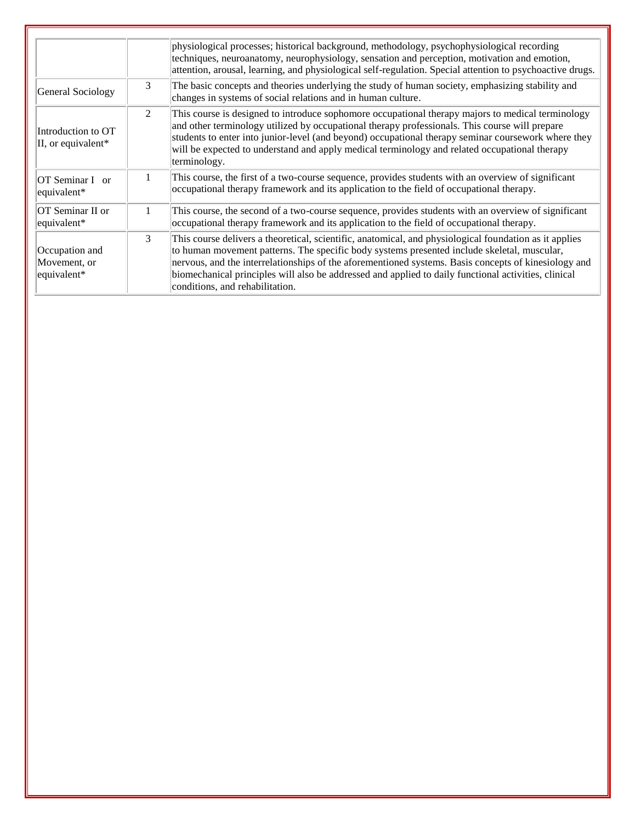|                                               |               | physiological processes; historical background, methodology, psychophysiological recording<br>techniques, neuroanatomy, neurophysiology, sensation and perception, motivation and emotion,<br>attention, arousal, learning, and physiological self-regulation. Special attention to psychoactive drugs.                                                                                                                                                  |
|-----------------------------------------------|---------------|----------------------------------------------------------------------------------------------------------------------------------------------------------------------------------------------------------------------------------------------------------------------------------------------------------------------------------------------------------------------------------------------------------------------------------------------------------|
| General Sociology                             | 3             | The basic concepts and theories underlying the study of human society, emphasizing stability and<br>changes in systems of social relations and in human culture.                                                                                                                                                                                                                                                                                         |
| Introduction to OT<br>II, or equivalent*      | $2^{\circ}$   | This course is designed to introduce sophomore occupational therapy majors to medical terminology<br>and other terminology utilized by occupational therapy professionals. This course will prepare<br>students to enter into junior-level (and beyond) occupational therapy seminar coursework where they<br>will be expected to understand and apply medical terminology and related occupational therapy<br>terminology.                              |
| OT Seminar I or<br>equivalent*                |               | This course, the first of a two-course sequence, provides students with an overview of significant<br>occupational therapy framework and its application to the field of occupational therapy.                                                                                                                                                                                                                                                           |
| OT Seminar II or<br>equivalent*               | 1.            | This course, the second of a two-course sequence, provides students with an overview of significant<br>occupational therapy framework and its application to the field of occupational therapy.                                                                                                                                                                                                                                                          |
| Occupation and<br>Movement, or<br>equivalent* | $\mathcal{E}$ | This course delivers a theoretical, scientific, anatomical, and physiological foundation as it applies<br>to human movement patterns. The specific body systems presented include skeletal, muscular,<br>nervous, and the interrelationships of the aforementioned systems. Basis concepts of kinesiology and<br>biomechanical principles will also be addressed and applied to daily functional activities, clinical<br>conditions, and rehabilitation. |